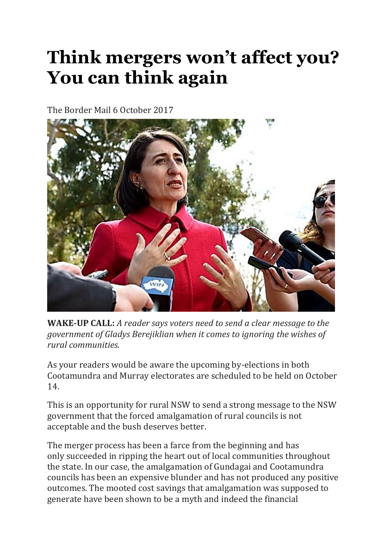## **Think mergers won't affect you? You can think again**

The Border Mail 6 October 2017



**WAKE-UP CALL:** *A reader says voters need to send a clear message to the government of Gladys Berejiklian when it comes to ignoring the wishes of rural communities.*

As your readers would be aware the upcoming by-elections in both Cootamundra and Murray electorates are scheduled to be held on October 14.

This is an opportunity for rural NSW to send a strong message to the NSW government that the forced amalgamation of rural councils is not acceptable and the bush deserves better.

The merger process has been a farce from the beginning and has only succeeded in ripping the heart out of local communities throughout the state. In our case, the amalgamation of Gundagai and Cootamundra councils has been an expensive blunder and has not produced any positive outcomes. The mooted cost savings that amalgamation was supposed to generate have been shown to be a myth and indeed the financial